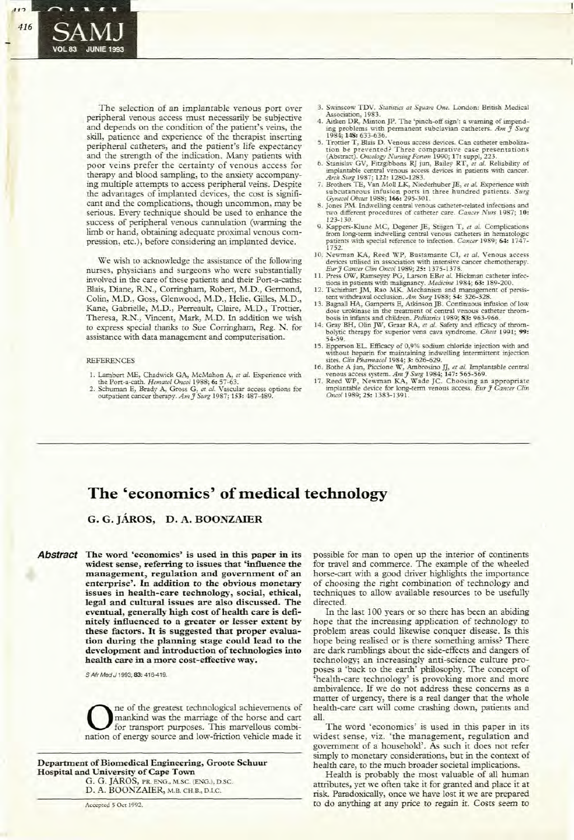# **The 'economics' of medical technology**

## **G. G. JARos, D. A. BOONZAIER**

**Abstract The word 'economics' is used in this paper in its widest sense, referring to issues that 'influence the management, regulation and government of an enterprise'. In addition to the obvious monetary issues in health-care technology, social, ethical, legal and cultural issues are also discussed. The eventual, generally high cost of health care is definitely influenced to a greater or lesser extent by these factors. It is suggested that proper evaluation during the planning stage could lead to the**  $develo$  **pment** and **introduction** of technologies into **health care in a more cost-effective way.**

S Afr Med J 1993; 83: 416-419.

**O**ne of the greatest technological achievements of<br>for transport purposes. This marvellous combi-<br>parion of aparex source and low friction rebicle mode it mankind was the marriage of the horse and cart nation of energy source and low-friction vehicle made it

#### **Department** of Biomedical Engineering, Groote Schuur **Hospital** and **University** of Cape Town

G. G. JAROS, PR. ENG., M.SC. (ENG.), D.SC. D. A. BOONZAIER, M.B. CH.B., D.I.C.

**Accepted 5 Oct 1992.**

possible for man to open up the interior of continents for travel and commerce. The example of the wheeled horse-cart with a good driver highlights the importance of choosing the righr combination of technology and techniques to allow available resources to be usefully directed.

In the last 100 years or so there has been an abiding hope that the increasing application of technology to problem areas could likewise conquer disease. Is this hope being realised or is there something amiss? There are dark rumblings about the side-effects and dangers of rechnology; an increasingly anti-science culture proposes a 'back to the earth' philosophy. The concept of 'health-care technology' is provoking more and more ambivalence. If we do not address these concerns as <sup>a</sup> matter of urgency, there is a real danger that the whole health-care cart will come crashing down, patients and all.

The word 'economics' is used in this paper in its widest sense, viz. 'the management, regulation and governmenr of a household'. As such it does not refer simply to monetary considerations, but in the conrext of health care, to the much broader societal implications.

Health is probably the most valuable of all human attributes, yet we often take it for granted and place it at risk. Paradoxically, once we have lost it we are prepared to do anything ar any price to regain it. Cosrs seem to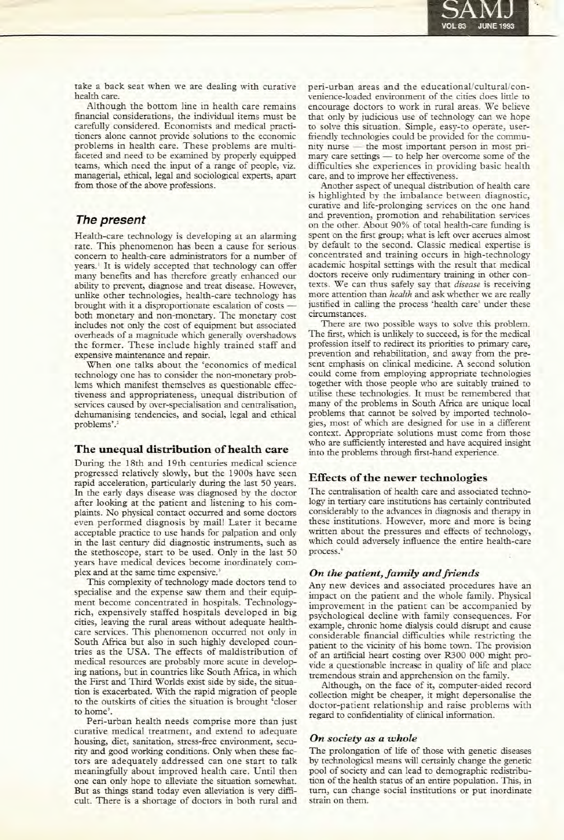

take a back seat when we are dealing with curative health care.

Although the bottom line in health care remains fmancial considerations, the individual items must be carefully considered. Economists and medical practitioners alone cannot provide solutions to the *economic* problems in health care. These problems are multifaceted and need to be examined by properly equipped teams, which need the input of a range of people, viz. managerial, ethical, legal and sociological experts, apan from those of the above professions.

## **The present**

Health-care technology is developing at an alarming rate. This phenomenon has been a cause for serious concern to health-care administrators for a number of years.<sup>1</sup> It is widely accepted that technology can offer many benefits and has therefore greatly enhanced our ability to prevent, diagnose and treat disease. However, unlike other technologies, health-care technology has brought with it a disproportionate escalation of costs both monetary and non-monetary. The monetary cost includes not only the cost of equipment but associated overheads of a magnitude which generally overshadows the former. These include highly trained staff and expensive maintenance and repair.

When one talks about the 'economics of medical technology one has to consider the non-monetary problems which manifest themselves as questionable effectiveness and appropriateness, unequal distribution of services caused by over-specialisation and centralisation, dehumanising tendencies, and social, legal and ethical problems'.<sup>2</sup>

## **The unequal distribution ofhealth care**

During the 18th and 19th centuries medical science progressed relatively slowly, but the 1900s have seen rapid acceleration, particularly during the last 50 years. In the early days disease was diagnosed by the doctor after looking at the patient and listening to his complaints. No physical contact occurred and some doctors even performed diagnosis by mail! Later it became acceptable practice to use hands for palpation and only in the last century did diagnostic instruments, such as the stethoscope, start to be used. Only in the last 50 years have medical devices become inordinately complex and at the same time expensive.<sup>3</sup>

This complexity of technology made doctors tend to specialise and the expense saw them and their equipment become concentrated in hospitals. Technologyrich, expensively staffed hospitals developed in big cities, leaving the rural areas without adequate healthcare services. This phenomenon occurred not only in South Africa but also in such highly developed countries as the USA. The effects of maldistribution of medical resources are probably more acute in developing nations, but in countries like South Africa, in which the First and Third Worlds exist side by side, the situation is exacerbated. With the rapid migration of people to the Outskirts of cities the situation is brought 'closer to home'.

Peri-urban health needs comprise more than just curative medical treatment, and extend to adequate housing, diet, sanitation, stress-free environment, security and good working conditions. Only when these factors are adequately addressed can one start to talk meaningfully about improved health care. Until then one can only hope to alleviate the situation somewhat. But as things stand today even alleviation is very difficult. There is a shortage of doctors in both rural and peri-urban areas and the educational/cultural/convenience-Ioaded environment of the cities does little to encourage doctors to work in rural areas. We believe that only by judicious use of technology can we hope to solve this situation. Simple, easy-to operate, userfriendly technologies could be provided for the community nurse - the most important person in most primary care settings - to help her overcome some of the difficulties she experiences in providing basic health care, and to improve her effectiveness.

Another aspect of unequal distribution of health care is highlighted by the imbalance between diagnostic, curative and life-prolonging services on the one hand and prevention, promotion and rehabilitation services on the other. About 90% of total health-care funding is spent on the first group; what is left over accrues almost by default to the second. Classic medical expertise is concentrated and training occurs in high-technology academic hospital settings with the result that medical doctors receive only rudimentary training in other contexts. We can thus safely say that *disease* is receiving more attention than *healrh* and ask whether we are really justified in calling the process 'health care' under these circumstances.

There are two possible ways to solve this problem. The first, which is unlikely to succeed, is for the medical profession itself to redirect its priorities to primary care, prevention and rehabilitation, and away from the present emphasis on clinical medicine. A second solution could come from employing appropriate technologies together with those people who are suitably trained to utilise these technologies. It must be remembered that many of the problems in South Africa are unique local problems that cannot be solved by imported technologies, most of which are designed for use in a different context. Appropriate solutions must come from those who are sufficiently interested and have acquired insight into the problems through first-hand experience.

## **Effects** of the newer **technologies**

The centralisation of health care and associated technology in tertiary care institutions has certainly contributed considerably to the advances in diagnosis and therapy in these institutions. However, more and more is being written about the pressures and effects of technology, which could adversely influence the entire health-care process.<sup>4</sup>

## *On the patient, family andfriends*

Any new devices and associated procedures have an impact on the patient and the whole family. Physical improvement in the patient can be accompanied by psychological decline with family consequences. For example, chronic home dialysis could disrupt and cause considerable financial difficulties while restricting the patient to the vicinity of his home town. The provision of an artificial heart costing over R300 000 might provide a questionable increase in quality of life and place tremendous strain and apprehension on the family.

Although, on the face of it, computer-aided record collection might be cheaper, it might depersonalise the doctor-patient relationship and raise problems with regard to confidentiality of clinical information.

### *On society as a whole*

The prolongation of life of those with genetic diseases by technological means will certainly change the genetic pool of society and can lead to demographic redistribution of the health status of an entire population. This, in turn, can change social institutions or put inordinate strain on them.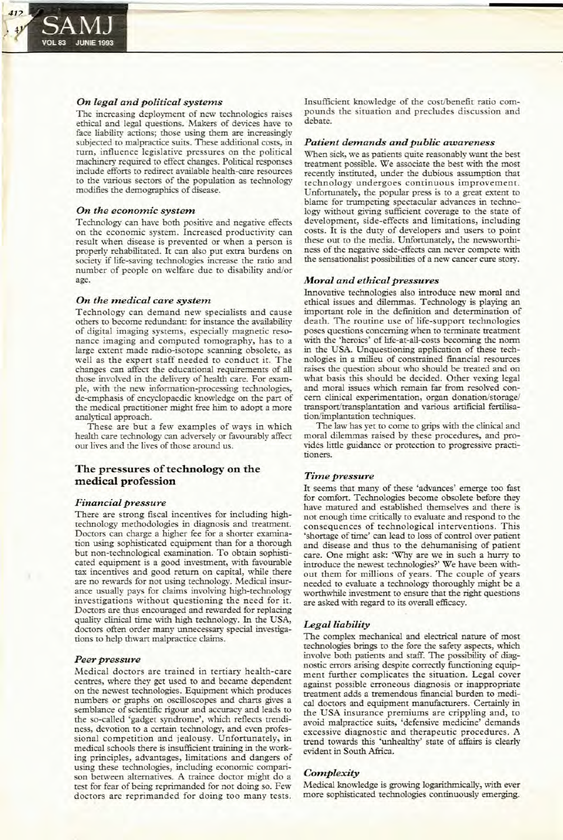

#### *On legal and political systems*

The increasing deployment of new technologies raises ethical and legal questions. Makers of devices have to face liability actions; those using them are increasingly subjected to malpractice suits. These additional costs, in turn, influence legislative pressures on the political machinery required to effect changes. Political responses include efforts to redirect available health-eare resources to the various sectors of the population as technology modifies the demographics of disease.

## *On the economic system*

Technology can have both positive and negative effects on the economic system. Increased productivity can result when disease is prevented or when a' person is properly rehabilitated. It can also put extra burdens on society if life-saving technologies increase the ratio and number of people on welfare due to disability and/or age.

#### *On the medical care system*

Technology can demand new specialists and cause others to become redundant: for instance the availability of digital imaging systems, especially magnetic resonance imaging and computed tomography, has to a large extent made radio-isotope scanning obsolete, as well as the expert staff needed to conduct it. The changes can affect the educational requirements of all those involved in the delivery of health care. For example, with the new information-processing technologies, de-emphasis of encyclopaedic knowledge on the part of the medical practitioner might free him to adopt a more analytical approach.

These are but a few examples of ways in which health care technology can adversely or favourably affect our lives and the lives of those around us.

## The pressures of technology on the medical profession

#### *Financial pressure*

There are strong fiscal incentives for including hightechnology methodologies in diagnosis and treatment. Doctors can charge a higher fee for a shorter examination using sophisticated equipment than for a thorough but non-technological examination. To obtain sophisticated equipment is a good investment, with favourable tax incentives and good return on capital, while there are no rewards for not using technology. Medical insurance usually pays for claims involving high-technology investigations without questioning the need for it. Doctors are thus encouraged and rewarded for replacing quality clinical time with high technology. In the USA, doctors often order many unnecessary special investigations to help thwart malpractice claims.

#### *Peer pressure*

Medical doctors are trained in tertiary health-care centres, where they get used to and became dependent on the newest technologies. Equipment which produces numbers or graphs on oscilloscopes and charts gives a semblance of scientific rigour and accuracy and leads to the so-called 'gadget syndrome', which reflects trendiness, devotion to a certain technology, and even professional competition and jealousy. Unfortunately, in medical schools there is insufficient training in the working principles, advantages, limitations and dangers of using these technologies, including economic comparison between alternatives. A trainee doctor might do a test for fear of being reprimanded for not doing so. Few doctors are reprimanded for doing too many tests.

Insufficient knowledge of the cost/benefit ratio compounds the situation and precludes discussion and debate.

#### *Patient demands and public awareness*

When sick, we as patients quite reasonably want the best treatment possible. We associate the best with the most recently instituted, under the dubious assumption that technology undergoes continuous improvement. Unfortunately, the popular press is to a great extent to blame for trumpeting spectacular advances in technology without giving sufficient coverage to the state of development, side-effects and limitations, including costs. It is the duty of developers and users to point these out to the media. Unfortunately, the newsworthiness of the negative side-effects can never compete with the sensationalist possibilities of a new cancer cure story.

#### *Moral and ethical pressures*

Innovative technologies also introduce new moral and ethical issues and dilemmas. Technology is playing an important role in the definition and determination of death. The routine use of life-support technologies poses questions concerning when to terminate treatment with the 'heroics' of life-at-all-costs becoming the norm in the USA. Unquestioning application of these technologies in a milieu of constrained financial resources raises the question about who should be treated and on what basis this should be decided. Other vexing legal and moral issues which remain far from resolved concern clinical experimentation, organ donation/storage/ transport/transplantation and various artificial fertilisation/implantation techniques.

The law has yet to come to grips with the clinical and moral dilemmas raised by these procedures, and provides little guidance or protection to progressive practitioners.

#### *Time pressure*

It seems that many of these 'advances' emerge too fast for comfort. Technologies become obsolete before they have matured and established themselves and there is not enough time critically to evaluate and respond to the consequences of technological interventions. This 'shortage of time' can lead to loss of control over patient and disease and thus to the dehumanising of patient care. One might ask: 'Why are we in such a hurry to introduce the newest technologies?' We have been without them for millions of years. The couple of years needed to evaluate a technology thoroughly might be a worthwhile investment to ensure that the right questions are asked with regard to its overall efficacy.

### *Legal liability*

The complex mechanical and electrical nature of most technologies brings to the fore the safety aspects, which involve both patients and staff. The possibility of diagnostic errors arising despite correctly functioning equipment further complicates the situation. Legal cover against possible erroneous diagnosis or inappropriate treatment adds a tremendous financial burden to medical doctors and equipment manufacturers. Certainly in the USA insurance premiums are crippling and, to avoid malpractice suits, 'defensive medicine' demands excessive diagnostic and therapeutic procedures. A trend towards this 'unhealthy' state of affairs is clearly evident in South Africa.

## *Complexity*

Medical knowledge is growing logarithmically, with ever more sophisticated technologies continuously emerging.